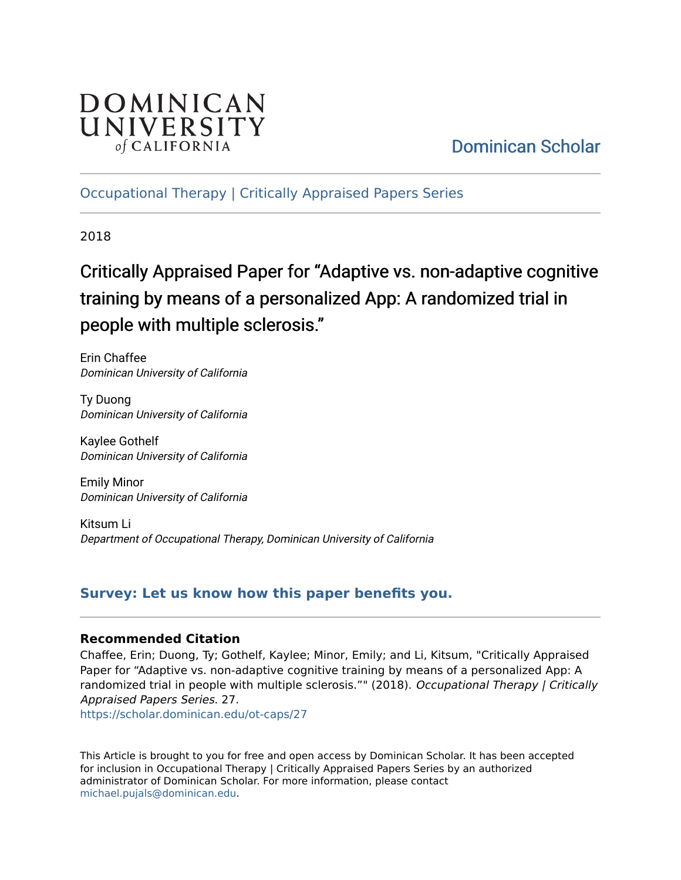

## [Dominican Scholar](https://scholar.dominican.edu/)

[Occupational Therapy | Critically Appraised Papers Series](https://scholar.dominican.edu/ot-caps) 

2018

# Critically Appraised Paper for "Adaptive vs. non-adaptive cognitive training by means of a personalized App: A randomized trial in people with multiple sclerosis."

Erin Chaffee Dominican University of California

Ty Duong Dominican University of California

Kaylee Gothelf Dominican University of California

Emily Minor Dominican University of California

Kitsum Li Department of Occupational Therapy, Dominican University of California

## **[Survey: Let us know how this paper benefits you.](https://dominican.libwizard.com/dominican-scholar-feedback)**

## **Recommended Citation**

Chaffee, Erin; Duong, Ty; Gothelf, Kaylee; Minor, Emily; and Li, Kitsum, "Critically Appraised Paper for "Adaptive vs. non-adaptive cognitive training by means of a personalized App: A randomized trial in people with multiple sclerosis."" (2018). Occupational Therapy | Critically Appraised Papers Series. 27.

[https://scholar.dominican.edu/ot-caps/27](https://scholar.dominican.edu/ot-caps/27?utm_source=scholar.dominican.edu%2Fot-caps%2F27&utm_medium=PDF&utm_campaign=PDFCoverPages) 

This Article is brought to you for free and open access by Dominican Scholar. It has been accepted for inclusion in Occupational Therapy | Critically Appraised Papers Series by an authorized administrator of Dominican Scholar. For more information, please contact [michael.pujals@dominican.edu.](mailto:michael.pujals@dominican.edu)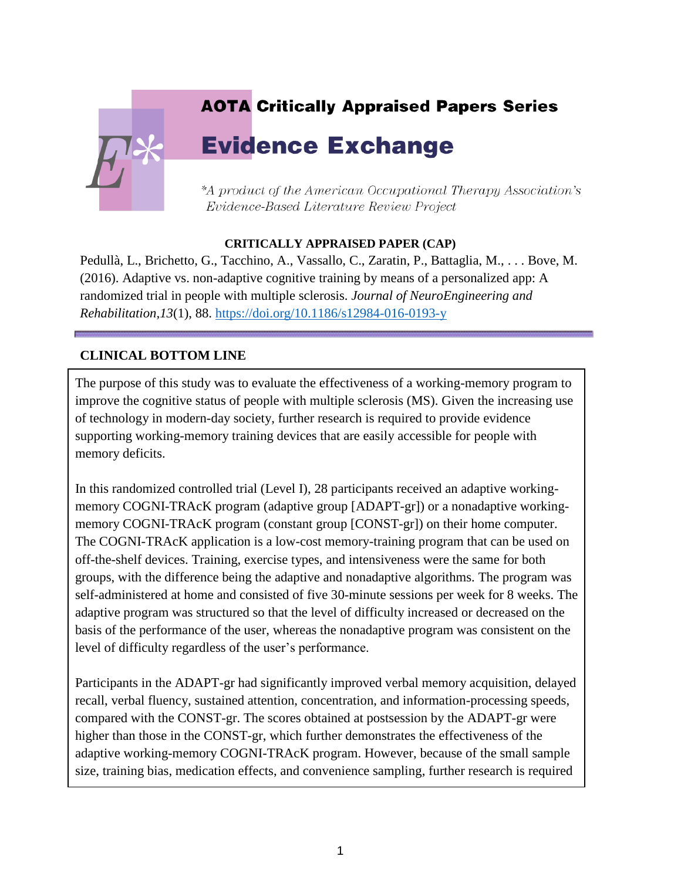# **AOTA Critically Appraised Papers Series Evidence Exchange** \*A product of the American Occupational Therapy Association's Evidence-Based Literature Review Project

## **CRITICALLY APPRAISED PAPER (CAP)**

Pedullà, L., Brichetto, G., Tacchino, A., Vassallo, C., Zaratin, P., Battaglia, M., . . . Bove, M. (2016). Adaptive vs. non-adaptive cognitive training by means of a personalized app: A randomized trial in people with multiple sclerosis. *Journal of NeuroEngineering and Rehabilitation,13*(1), 88.<https://doi.org/10.1186/s12984-016-0193-y>

## **CLINICAL BOTTOM LINE**

The purpose of this study was to evaluate the effectiveness of a working-memory program to improve the cognitive status of people with multiple sclerosis (MS). Given the increasing use of technology in modern-day society, further research is required to provide evidence supporting working-memory training devices that are easily accessible for people with memory deficits.

In this randomized controlled trial (Level I), 28 participants received an adaptive workingmemory COGNI-TRAcK program (adaptive group [ADAPT-gr]) or a nonadaptive workingmemory COGNI-TRAcK program (constant group [CONST-gr]) on their home computer. The COGNI-TRAcK application is a low-cost memory-training program that can be used on off-the-shelf devices. Training, exercise types, and intensiveness were the same for both groups, with the difference being the adaptive and nonadaptive algorithms. The program was self-administered at home and consisted of five 30-minute sessions per week for 8 weeks. The adaptive program was structured so that the level of difficulty increased or decreased on the basis of the performance of the user, whereas the nonadaptive program was consistent on the level of difficulty regardless of the user's performance.

Participants in the ADAPT-gr had significantly improved verbal memory acquisition, delayed recall, verbal fluency, sustained attention, concentration, and information-processing speeds, compared with the CONST-gr. The scores obtained at postsession by the ADAPT-gr were higher than those in the CONST-gr, which further demonstrates the effectiveness of the adaptive working-memory COGNI-TRAcK program. However, because of the small sample size, training bias, medication effects, and convenience sampling, further research is required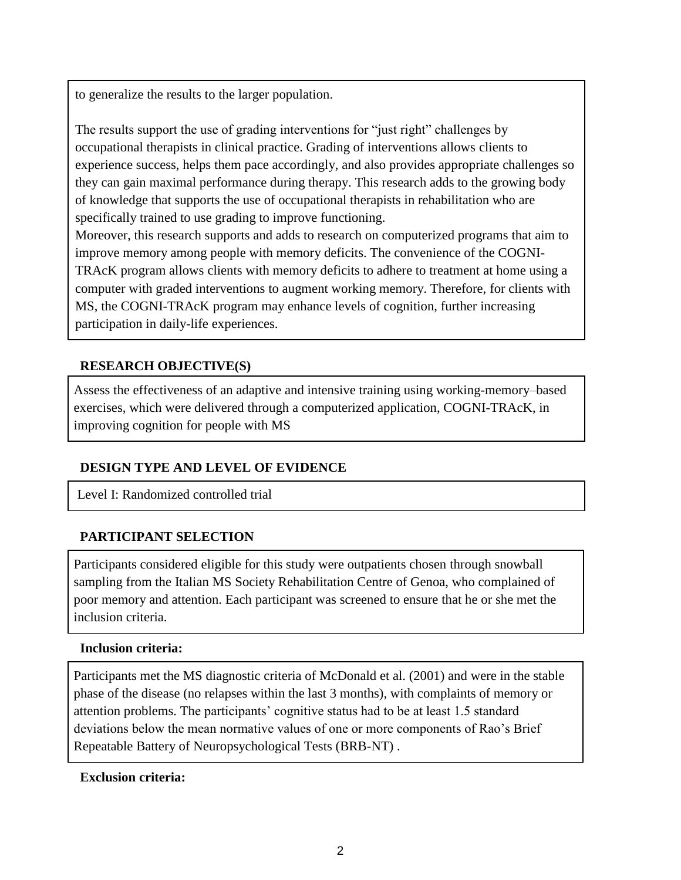to generalize the results to the larger population.

The results support the use of grading interventions for "just right" challenges by occupational therapists in clinical practice. Grading of interventions allows clients to experience success, helps them pace accordingly, and also provides appropriate challenges so they can gain maximal performance during therapy. This research adds to the growing body of knowledge that supports the use of occupational therapists in rehabilitation who are specifically trained to use grading to improve functioning.

Moreover, this research supports and adds to research on computerized programs that aim to improve memory among people with memory deficits. The convenience of the COGNI-TRAcK program allows clients with memory deficits to adhere to treatment at home using a computer with graded interventions to augment working memory. Therefore, for clients with MS, the COGNI-TRAcK program may enhance levels of cognition, further increasing participation in daily-life experiences.

## **RESEARCH OBJECTIVE(S)**

Assess the effectiveness of an adaptive and intensive training using working-memory–based exercises, which were delivered through a computerized application, COGNI-TRAcK, in improving cognition for people with MS

## **DESIGN TYPE AND LEVEL OF EVIDENCE**

Level I: Randomized controlled trial

## **PARTICIPANT SELECTION**

Participants considered eligible for this study were outpatients chosen through snowball sampling from the Italian MS Society Rehabilitation Centre of Genoa, who complained of poor memory and attention. Each participant was screened to ensure that he or she met the inclusion criteria.

#### **Inclusion criteria:**

Participants met the MS diagnostic criteria of McDonald et al. (2001) and were in the stable phase of the disease (no relapses within the last 3 months), with complaints of memory or attention problems. The participants' cognitive status had to be at least 1.5 standard deviations below the mean normative values of one or more components of Rao's Brief Repeatable Battery of Neuropsychological Tests (BRB-NT) .

## **Exclusion criteria:**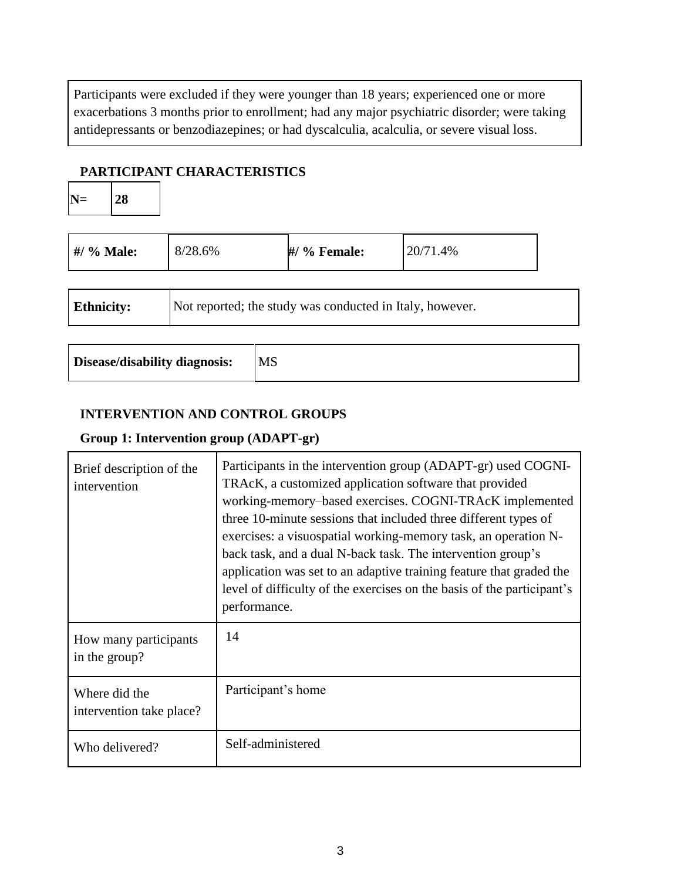Participants were excluded if they were younger than 18 years; experienced one or more exacerbations 3 months prior to enrollment; had any major psychiatric disorder; were taking antidepressants or benzodiazepines; or had dyscalculia, acalculia, or severe visual loss.

## **PARTICIPANT CHARACTERISTICS**

| $\vert N = \vert 28 \vert$ |
|----------------------------|
|----------------------------|

| #/ % Male:        | 8/28.6%                                                  | #/ % Female: | 20/71.4% |  |
|-------------------|----------------------------------------------------------|--------------|----------|--|
|                   |                                                          |              |          |  |
| <b>Ethnicity:</b> | Not reported; the study was conducted in Italy, however. |              |          |  |
|                   |                                                          |              |          |  |

| Disease/disability diagnosis: | <b>MS</b> |
|-------------------------------|-----------|
|-------------------------------|-----------|

## **INTERVENTION AND CONTROL GROUPS**

## **Group 1: Intervention group (ADAPT-gr)**

| Brief description of the<br>intervention  | Participants in the intervention group (ADAPT-gr) used COGNI-<br>TRAcK, a customized application software that provided<br>working-memory-based exercises. COGNI-TRAcK implemented<br>three 10-minute sessions that included three different types of<br>exercises: a visuospatial working-memory task, an operation N-<br>back task, and a dual N-back task. The intervention group's<br>application was set to an adaptive training feature that graded the<br>level of difficulty of the exercises on the basis of the participant's<br>performance. |
|-------------------------------------------|---------------------------------------------------------------------------------------------------------------------------------------------------------------------------------------------------------------------------------------------------------------------------------------------------------------------------------------------------------------------------------------------------------------------------------------------------------------------------------------------------------------------------------------------------------|
| How many participants<br>in the group?    | 14                                                                                                                                                                                                                                                                                                                                                                                                                                                                                                                                                      |
| Where did the<br>intervention take place? | Participant's home                                                                                                                                                                                                                                                                                                                                                                                                                                                                                                                                      |
| Who delivered?                            | Self-administered                                                                                                                                                                                                                                                                                                                                                                                                                                                                                                                                       |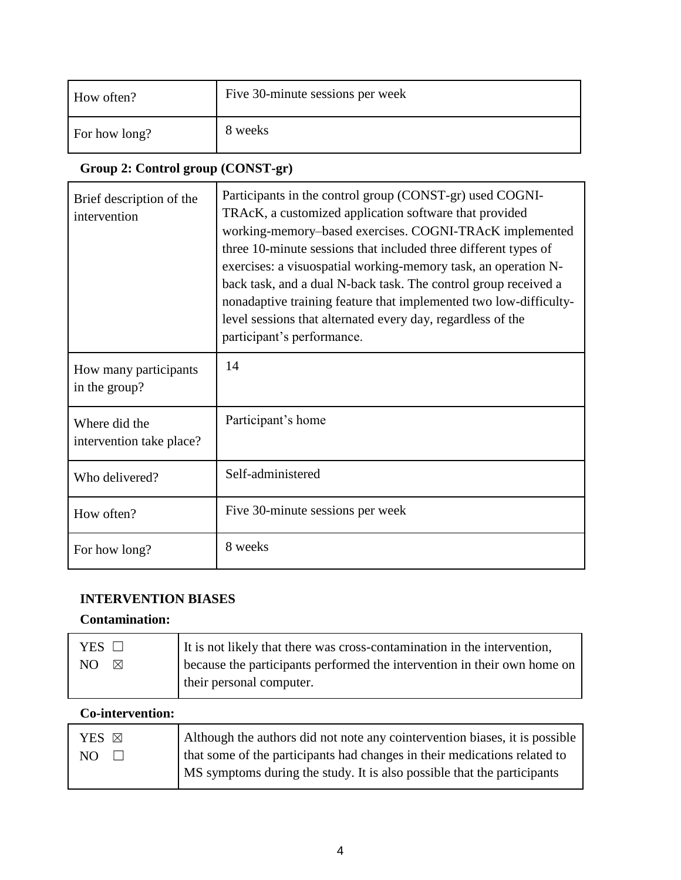| How often?    | Five 30-minute sessions per week |
|---------------|----------------------------------|
| For how long? | 8 weeks                          |

## **Group 2: Control group (CONST-gr)**

| Brief description of the<br>intervention  | Participants in the control group (CONST-gr) used COGNI-<br>TRAcK, a customized application software that provided<br>working-memory-based exercises. COGNI-TRAcK implemented<br>three 10-minute sessions that included three different types of<br>exercises: a visuospatial working-memory task, an operation N-<br>back task, and a dual N-back task. The control group received a<br>nonadaptive training feature that implemented two low-difficulty-<br>level sessions that alternated every day, regardless of the<br>participant's performance. |
|-------------------------------------------|---------------------------------------------------------------------------------------------------------------------------------------------------------------------------------------------------------------------------------------------------------------------------------------------------------------------------------------------------------------------------------------------------------------------------------------------------------------------------------------------------------------------------------------------------------|
| How many participants<br>in the group?    | 14                                                                                                                                                                                                                                                                                                                                                                                                                                                                                                                                                      |
| Where did the<br>intervention take place? | Participant's home                                                                                                                                                                                                                                                                                                                                                                                                                                                                                                                                      |
| Who delivered?                            | Self-administered                                                                                                                                                                                                                                                                                                                                                                                                                                                                                                                                       |
| How often?                                | Five 30-minute sessions per week                                                                                                                                                                                                                                                                                                                                                                                                                                                                                                                        |
| For how long?                             | 8 weeks                                                                                                                                                                                                                                                                                                                                                                                                                                                                                                                                                 |

## **INTERVENTION BIASES**

## **Contamination:**

| YES $\Box$         | It is not likely that there was cross-contamination in the intervention, |
|--------------------|--------------------------------------------------------------------------|
| NO.<br>$\boxtimes$ | because the participants performed the intervention in their own home on |
|                    | their personal computer.                                                 |

## **Co-intervention:**

| YES <sub>N</sub> | Although the authors did not note any cointervention biases, it is possible |
|------------------|-----------------------------------------------------------------------------|
| NO.              | that some of the participants had changes in their medications related to   |
|                  | MS symptoms during the study. It is also possible that the participants     |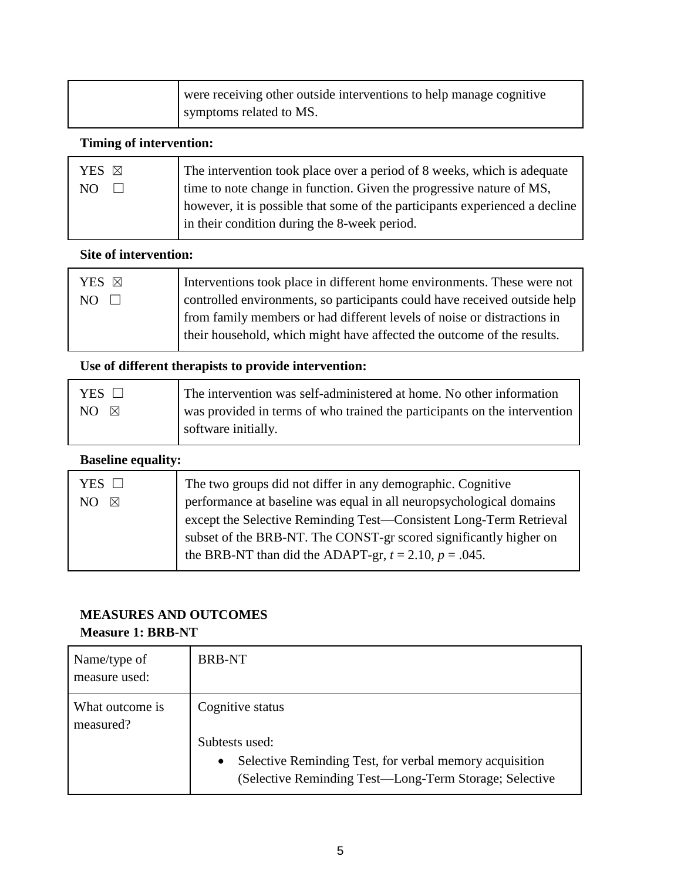| were receiving other outside interventions to help manage cognitive |
|---------------------------------------------------------------------|
| symptoms related to MS.                                             |

## **Timing of intervention:**

| The intervention took place over a period of 8 weeks, which is adequate     |
|-----------------------------------------------------------------------------|
| time to note change in function. Given the progressive nature of MS,        |
| however, it is possible that some of the participants experienced a decline |
| in their condition during the 8-week period.                                |
|                                                                             |

## **Site of intervention:**

| YES <b>X</b> | Interventions took place in different home environments. These were not   |
|--------------|---------------------------------------------------------------------------|
| $NO \square$ | controlled environments, so participants could have received outside help |
|              | from family members or had different levels of noise or distractions in   |
|              | their household, which might have affected the outcome of the results.    |
|              |                                                                           |

## **Use of different therapists to provide intervention:**

| YES $\square$        | The intervention was self-administered at home. No other information      |
|----------------------|---------------------------------------------------------------------------|
| $NO \quad \boxtimes$ | was provided in terms of who trained the participants on the intervention |
|                      | software initially.                                                       |

## **Baseline equality:**

| YES $\Box$<br>NO.<br>⊠ | The two groups did not differ in any demographic. Cognitive<br>performance at baseline was equal in all neuropsychological domains<br>except the Selective Reminding Test—Consistent Long-Term Retrieval<br>subset of the BRB-NT. The CONST-gr scored significantly higher on<br>the BRB-NT than did the ADAPT-gr, $t = 2.10$ , $p = .045$ . |
|------------------------|----------------------------------------------------------------------------------------------------------------------------------------------------------------------------------------------------------------------------------------------------------------------------------------------------------------------------------------------|
|------------------------|----------------------------------------------------------------------------------------------------------------------------------------------------------------------------------------------------------------------------------------------------------------------------------------------------------------------------------------------|

## **MEASURES AND OUTCOMES**

## **Measure 1: BRB-NT**

| Name/type of<br>measure used: | <b>BRB-NT</b>                                                                                                                                    |
|-------------------------------|--------------------------------------------------------------------------------------------------------------------------------------------------|
| What outcome is<br>measured?  | Cognitive status                                                                                                                                 |
|                               | Subtests used:<br>Selective Reminding Test, for verbal memory acquisition<br>$\bullet$<br>(Selective Reminding Test—Long-Term Storage; Selective |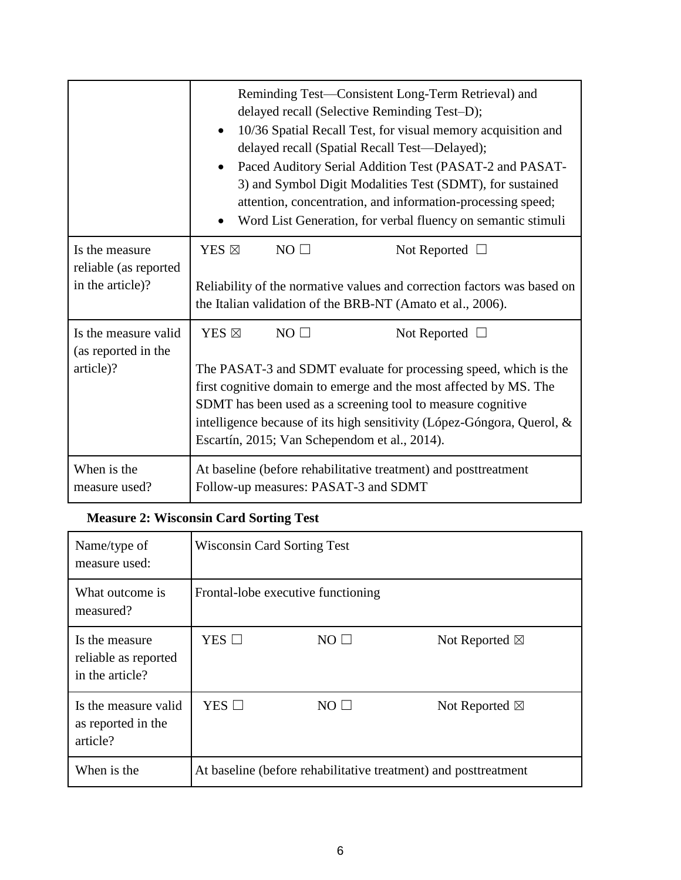|                                                             | Reminding Test—Consistent Long-Term Retrieval) and<br>delayed recall (Selective Reminding Test-D);<br>10/36 Spatial Recall Test, for visual memory acquisition and<br>$\bullet$<br>delayed recall (Spatial Recall Test-Delayed);<br>Paced Auditory Serial Addition Test (PASAT-2 and PASAT-<br>3) and Symbol Digit Modalities Test (SDMT), for sustained<br>attention, concentration, and information-processing speed;<br>Word List Generation, for verbal fluency on semantic stimuli |  |
|-------------------------------------------------------------|-----------------------------------------------------------------------------------------------------------------------------------------------------------------------------------------------------------------------------------------------------------------------------------------------------------------------------------------------------------------------------------------------------------------------------------------------------------------------------------------|--|
| Is the measure<br>reliable (as reported<br>in the article)? | $NO \Box$<br>YES $\boxtimes$<br>Not Reported $\Box$<br>Reliability of the normative values and correction factors was based on<br>the Italian validation of the BRB-NT (Amato et al., 2006).                                                                                                                                                                                                                                                                                            |  |
| Is the measure valid<br>(as reported in the<br>article)?    | $NO \Box$<br>YES ⊠<br>Not Reported $\Box$<br>The PASAT-3 and SDMT evaluate for processing speed, which is the<br>first cognitive domain to emerge and the most affected by MS. The<br>SDMT has been used as a screening tool to measure cognitive<br>intelligence because of its high sensitivity (López-Góngora, Querol, &<br>Escartín, 2015; Van Schependom et al., 2014).                                                                                                            |  |
| When is the<br>measure used?                                | At baseline (before rehabilitative treatment) and posttreatment<br>Follow-up measures: PASAT-3 and SDMT                                                                                                                                                                                                                                                                                                                                                                                 |  |

## **Measure 2: Wisconsin Card Sorting Test**

| Name/type of<br>measure used:                             | <b>Wisconsin Card Sorting Test</b>                              |            |                          |
|-----------------------------------------------------------|-----------------------------------------------------------------|------------|--------------------------|
| What outcome is<br>measured?                              | Frontal-lobe executive functioning                              |            |                          |
| Is the measure<br>reliable as reported<br>in the article? | $YES$ $\square$                                                 | $NO \Box$  | Not Reported $\boxtimes$ |
| Is the measure valid<br>as reported in the<br>article?    | YES $\square$                                                   | $NO \perp$ | Not Reported $\boxtimes$ |
| When is the                                               | At baseline (before rehabilitative treatment) and posttreatment |            |                          |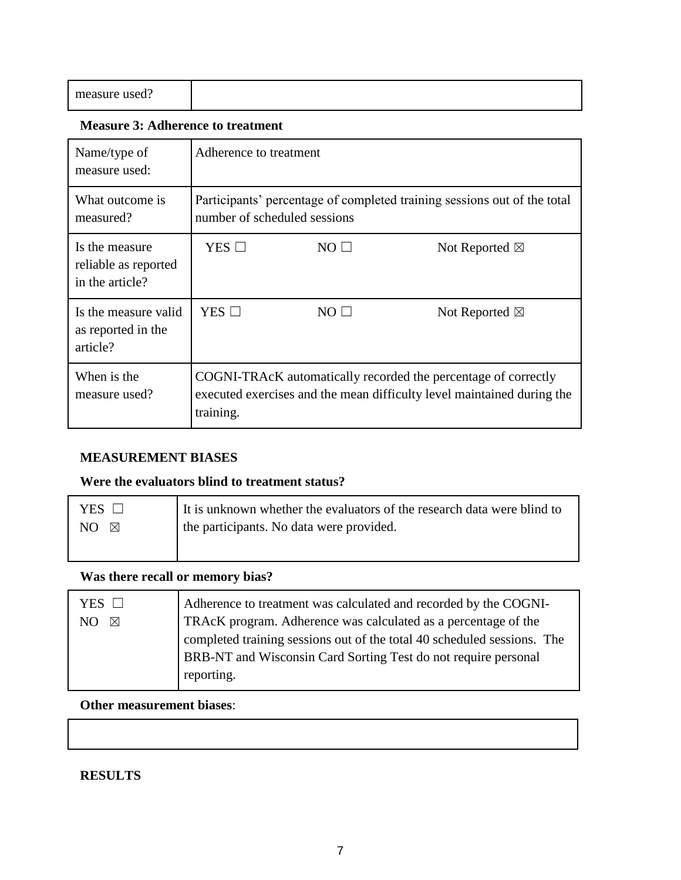| measure used?<br>$\cdots$ $\cdots$<br>. |  |
|-----------------------------------------|--|
|                                         |  |

#### **Measure 3: Adherence to treatment**

| Name/type of<br>measure used:                             | Adherence to treatment                                                                                                                                |             |                          |
|-----------------------------------------------------------|-------------------------------------------------------------------------------------------------------------------------------------------------------|-------------|--------------------------|
| What outcome is<br>measured?                              | Participants' percentage of completed training sessions out of the total<br>number of scheduled sessions                                              |             |                          |
| Is the measure<br>reliable as reported<br>in the article? | YES $\Box$                                                                                                                                            | $NO$ $\Box$ | Not Reported $\boxtimes$ |
| Is the measure valid<br>as reported in the<br>article?    | YES □                                                                                                                                                 | $NO \perp$  | Not Reported $\boxtimes$ |
| When is the<br>measure used?                              | COGNI-TRAcK automatically recorded the percentage of correctly<br>executed exercises and the mean difficulty level maintained during the<br>training. |             |                          |

## **MEASUREMENT BIASES**

## **Were the evaluators blind to treatment status?**

| YES $\Box$ | It is unknown whether the evaluators of the research data were blind to |
|------------|-------------------------------------------------------------------------|
| NO.<br>⊠   | the participants. No data were provided.                                |
|            |                                                                         |

## **Was there recall or memory bias?**

| YES $\Box$         | Adherence to treatment was calculated and recorded by the COGNI-        |
|--------------------|-------------------------------------------------------------------------|
| NO.<br>$\boxtimes$ | TRAcK program. Adherence was calculated as a percentage of the          |
|                    | completed training sessions out of the total 40 scheduled sessions. The |
|                    | BRB-NT and Wisconsin Card Sorting Test do not require personal          |
|                    | reporting.                                                              |

## **Other measurement biases**:

## **RESULTS**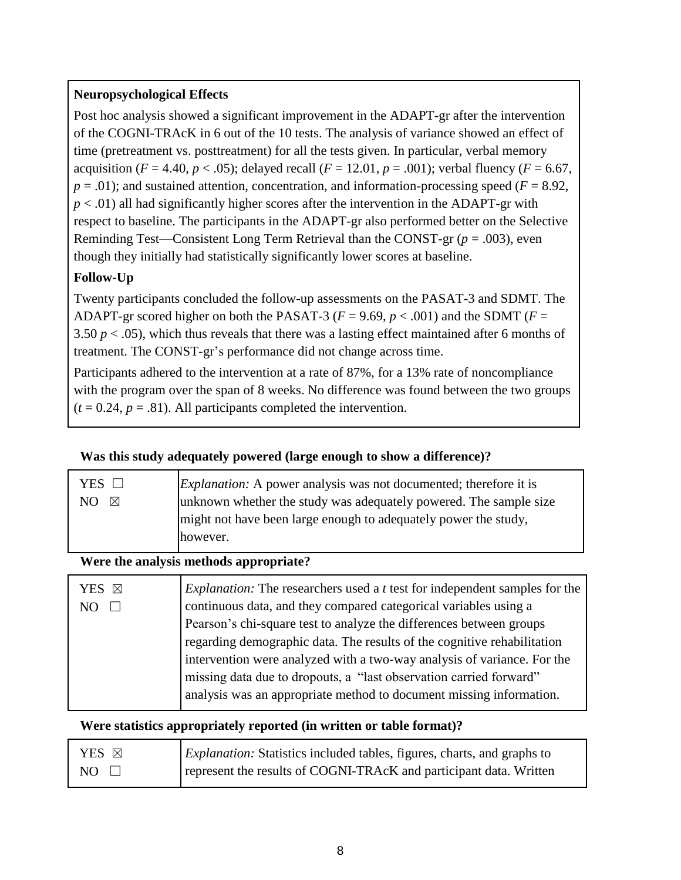## **Neuropsychological Effects**

Post hoc analysis showed a significant improvement in the ADAPT-gr after the intervention of the COGNI-TRAcK in 6 out of the 10 tests. The analysis of variance showed an effect of time (pretreatment vs. posttreatment) for all the tests given. In particular, verbal memory acquisition (*F* = 4.40, *p* < .05); delayed recall (*F* = 12.01, *p* = .001); verbal fluency (*F* = 6.67,  $p = .01$ ); and sustained attention, concentration, and information-processing speed ( $F = 8.92$ ,  $p < .01$ ) all had significantly higher scores after the intervention in the ADAPT-gr with respect to baseline. The participants in the ADAPT-gr also performed better on the Selective Reminding Test—Consistent Long Term Retrieval than the CONST-gr (*p* = .003), even though they initially had statistically significantly lower scores at baseline.

## **Follow-Up**

Twenty participants concluded the follow-up assessments on the PASAT-3 and SDMT. The ADAPT-gr scored higher on both the PASAT-3 ( $F = 9.69$ ,  $p < .001$ ) and the SDMT ( $F =$ 3.50 *p* < .05), which thus reveals that there was a lasting effect maintained after 6 months of treatment. The CONST-gr's performance did not change across time.

Participants adhered to the intervention at a rate of 87%, for a 13% rate of noncompliance with the program over the span of 8 weeks. No difference was found between the two groups  $(t = 0.24, p = .81)$ . All participants completed the intervention.

## **Was this study adequately powered (large enough to show a difference)?**

| YES      | <i>Explanation:</i> A power analysis was not documented; therefore it is |
|----------|--------------------------------------------------------------------------|
| NO.<br>⊠ | unknown whether the study was adequately powered. The sample size        |
|          | might not have been large enough to adequately power the study,          |
|          | however.                                                                 |
|          |                                                                          |

## **Were the analysis methods appropriate?**

| YES ⊠           | <i>Explanation:</i> The researchers used a <i>t</i> test for independent samples for the |
|-----------------|------------------------------------------------------------------------------------------|
| NO <sub>1</sub> | continuous data, and they compared categorical variables using a                         |
|                 | Pearson's chi-square test to analyze the differences between groups                      |
|                 | regarding demographic data. The results of the cognitive rehabilitation                  |
|                 | intervention were analyzed with a two-way analysis of variance. For the                  |
|                 | missing data due to dropouts, a "last observation carried forward"                       |
|                 | analysis was an appropriate method to document missing information.                      |
|                 |                                                                                          |

## **Were statistics appropriately reported (in written or table format)?**

| YES ⊠        | <i>Explanation:</i> Statistics included tables, figures, charts, and graphs to |
|--------------|--------------------------------------------------------------------------------|
| $NO \square$ | represent the results of COGNI-TRAcK and participant data. Written             |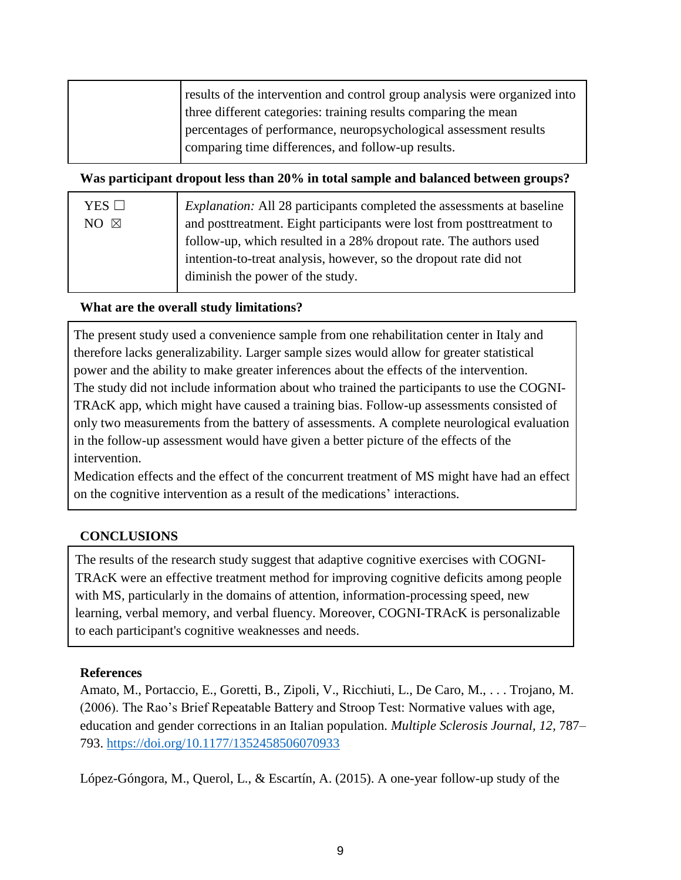| results of the intervention and control group analysis were organized into<br>three different categories: training results comparing the mean |
|-----------------------------------------------------------------------------------------------------------------------------------------------|
| percentages of performance, neuropsychological assessment results<br>comparing time differences, and follow-up results.                       |

#### **Was participant dropout less than 20% in total sample and balanced between groups?**

| <i>Explanation:</i> All 28 participants completed the assessments at baseline             |  |
|-------------------------------------------------------------------------------------------|--|
| and posttreatment. Eight participants were lost from posttreatment to<br>$NO \ \boxtimes$ |  |
| follow-up, which resulted in a 28% dropout rate. The authors used                         |  |
| intention-to-treat analysis, however, so the dropout rate did not                         |  |
| diminish the power of the study.                                                          |  |

## **What are the overall study limitations?**

The present study used a convenience sample from one rehabilitation center in Italy and therefore lacks generalizability. Larger sample sizes would allow for greater statistical power and the ability to make greater inferences about the effects of the intervention. The study did not include information about who trained the participants to use the COGNI-TRAcK app, which might have caused a training bias. Follow-up assessments consisted of only two measurements from the battery of assessments. A complete neurological evaluation in the follow-up assessment would have given a better picture of the effects of the intervention.

Medication effects and the effect of the concurrent treatment of MS might have had an effect on the cognitive intervention as a result of the medications' interactions.

## **CONCLUSIONS**

The results of the research study suggest that adaptive cognitive exercises with COGNI-TRAcK were an effective treatment method for improving cognitive deficits among people with MS, particularly in the domains of attention, information-processing speed, new learning, verbal memory, and verbal fluency. Moreover, COGNI-TRAcK is personalizable to each participant's cognitive weaknesses and needs.

## **References**

Amato, M., Portaccio, E., Goretti, B., Zipoli, V., Ricchiuti, L., De Caro, M., . . . Trojano, M. (2006). The Rao's Brief Repeatable Battery and Stroop Test: Normative values with age, education and gender corrections in an Italian population. *Multiple Sclerosis Journal, 12,* 787– 793.<https://doi.org/10.1177/1352458506070933>

López-Góngora, M., Querol, L., & Escartín, A. (2015). A one-year follow-up study of the